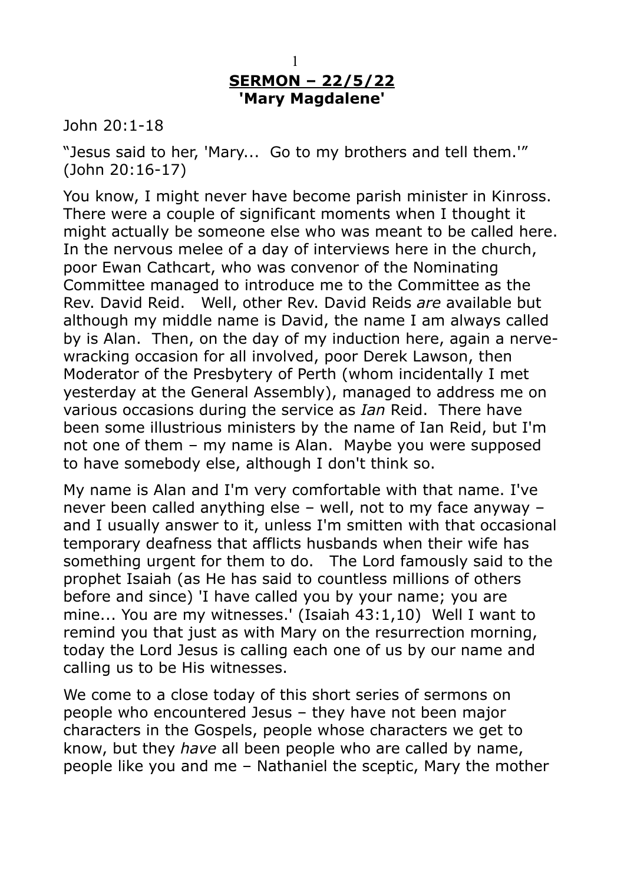## 1 **SERMON – 22/5/22 'Mary Magdalene'**

John 20:1-18

"Jesus said to her, 'Mary... Go to my brothers and tell them.'" (John 20:16-17)

You know, I might never have become parish minister in Kinross. There were a couple of significant moments when I thought it might actually be someone else who was meant to be called here. In the nervous melee of a day of interviews here in the church, poor Ewan Cathcart, who was convenor of the Nominating Committee managed to introduce me to the Committee as the Rev. David Reid. Well, other Rev. David Reids *are* available but although my middle name is David, the name I am always called by is Alan. Then, on the day of my induction here, again a nervewracking occasion for all involved, poor Derek Lawson, then Moderator of the Presbytery of Perth (whom incidentally I met yesterday at the General Assembly), managed to address me on various occasions during the service as *Ian* Reid. There have been some illustrious ministers by the name of Ian Reid, but I'm not one of them – my name is Alan. Maybe you were supposed to have somebody else, although I don't think so.

My name is Alan and I'm very comfortable with that name. I've never been called anything else – well, not to my face anyway – and I usually answer to it, unless I'm smitten with that occasional temporary deafness that afflicts husbands when their wife has something urgent for them to do. The Lord famously said to the prophet Isaiah (as He has said to countless millions of others before and since) 'I have called you by your name; you are mine... You are my witnesses.' (Isaiah 43:1,10) Well I want to remind you that just as with Mary on the resurrection morning, today the Lord Jesus is calling each one of us by our name and calling us to be His witnesses.

We come to a close today of this short series of sermons on people who encountered Jesus – they have not been major characters in the Gospels, people whose characters we get to know, but they *have* all been people who are called by name, people like you and me – Nathaniel the sceptic, Mary the mother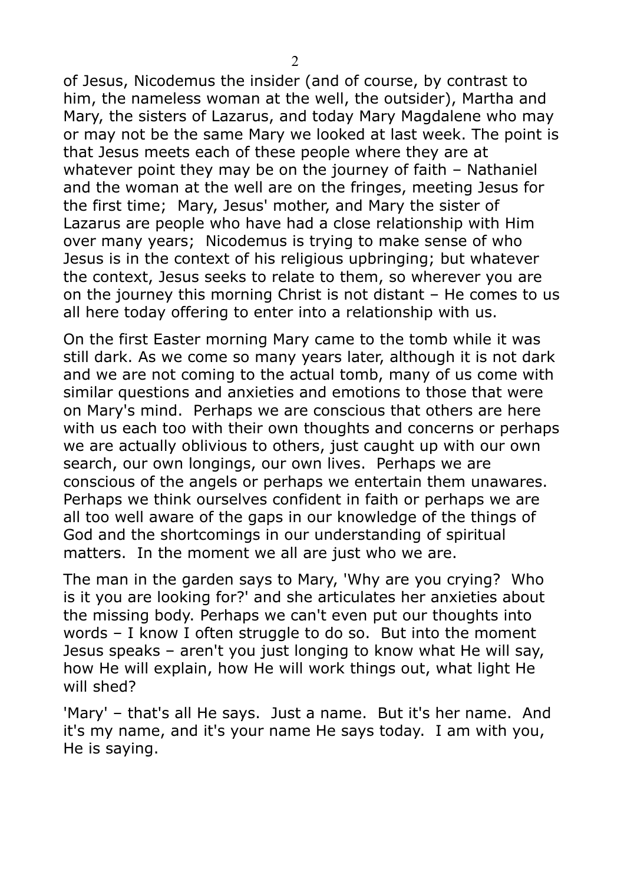of Jesus, Nicodemus the insider (and of course, by contrast to him, the nameless woman at the well, the outsider), Martha and Mary, the sisters of Lazarus, and today Mary Magdalene who may or may not be the same Mary we looked at last week. The point is that Jesus meets each of these people where they are at whatever point they may be on the journey of faith – Nathaniel and the woman at the well are on the fringes, meeting Jesus for the first time; Mary, Jesus' mother, and Mary the sister of Lazarus are people who have had a close relationship with Him over many years; Nicodemus is trying to make sense of who Jesus is in the context of his religious upbringing; but whatever the context, Jesus seeks to relate to them, so wherever you are on the journey this morning Christ is not distant – He comes to us all here today offering to enter into a relationship with us.

On the first Easter morning Mary came to the tomb while it was still dark. As we come so many years later, although it is not dark and we are not coming to the actual tomb, many of us come with similar questions and anxieties and emotions to those that were on Mary's mind. Perhaps we are conscious that others are here with us each too with their own thoughts and concerns or perhaps we are actually oblivious to others, just caught up with our own search, our own longings, our own lives. Perhaps we are conscious of the angels or perhaps we entertain them unawares. Perhaps we think ourselves confident in faith or perhaps we are all too well aware of the gaps in our knowledge of the things of God and the shortcomings in our understanding of spiritual matters. In the moment we all are just who we are.

The man in the garden says to Mary, 'Why are you crying? Who is it you are looking for?' and she articulates her anxieties about the missing body. Perhaps we can't even put our thoughts into words – I know I often struggle to do so. But into the moment Jesus speaks – aren't you just longing to know what He will say, how He will explain, how He will work things out, what light He will shed?

'Mary' – that's all He says. Just a name. But it's her name. And it's my name, and it's your name He says today. I am with you, He is saying.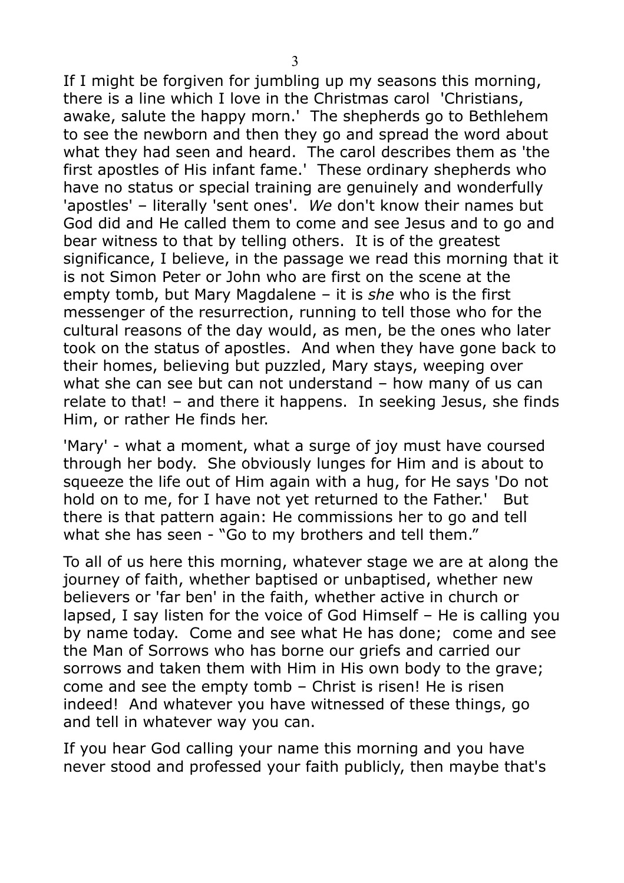If I might be forgiven for jumbling up my seasons this morning, there is a line which I love in the Christmas carol 'Christians, awake, salute the happy morn.' The shepherds go to Bethlehem to see the newborn and then they go and spread the word about what they had seen and heard. The carol describes them as 'the first apostles of His infant fame.' These ordinary shepherds who have no status or special training are genuinely and wonderfully 'apostles' – literally 'sent ones'. *We* don't know their names but God did and He called them to come and see Jesus and to go and bear witness to that by telling others. It is of the greatest significance, I believe, in the passage we read this morning that it is not Simon Peter or John who are first on the scene at the empty tomb, but Mary Magdalene – it is *she* who is the first messenger of the resurrection, running to tell those who for the cultural reasons of the day would, as men, be the ones who later took on the status of apostles. And when they have gone back to their homes, believing but puzzled, Mary stays, weeping over what she can see but can not understand – how many of us can relate to that! – and there it happens. In seeking Jesus, she finds Him, or rather He finds her.

'Mary' - what a moment, what a surge of joy must have coursed through her body. She obviously lunges for Him and is about to squeeze the life out of Him again with a hug, for He says 'Do not hold on to me, for I have not yet returned to the Father.' But there is that pattern again: He commissions her to go and tell what she has seen - "Go to my brothers and tell them."

To all of us here this morning, whatever stage we are at along the journey of faith, whether baptised or unbaptised, whether new believers or 'far ben' in the faith, whether active in church or lapsed, I say listen for the voice of God Himself – He is calling you by name today. Come and see what He has done; come and see the Man of Sorrows who has borne our griefs and carried our sorrows and taken them with Him in His own body to the grave; come and see the empty tomb – Christ is risen! He is risen indeed! And whatever you have witnessed of these things, go and tell in whatever way you can.

If you hear God calling your name this morning and you have never stood and professed your faith publicly, then maybe that's